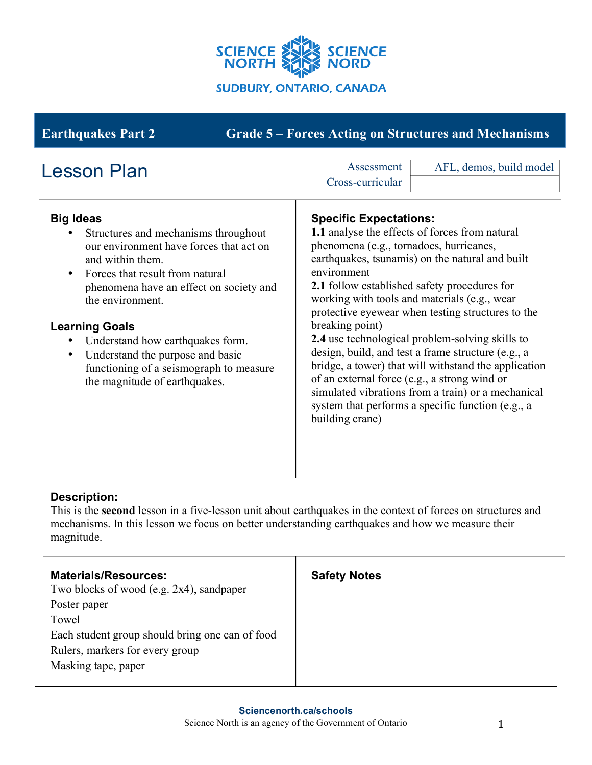

**Earthquakes Part 2 Grade 5 – Forces Acting on Structures and Mechanisms**

| <b>Lesson Plan</b>                                                                                                                                                                                                                                                                                                                                                                                                               | Assessment<br>AFL, demos, build model<br>Cross-curricular                                                                                                                                                                                                                                                                                                                                                                                                                                                                                                                                                                                                                                                                  |
|----------------------------------------------------------------------------------------------------------------------------------------------------------------------------------------------------------------------------------------------------------------------------------------------------------------------------------------------------------------------------------------------------------------------------------|----------------------------------------------------------------------------------------------------------------------------------------------------------------------------------------------------------------------------------------------------------------------------------------------------------------------------------------------------------------------------------------------------------------------------------------------------------------------------------------------------------------------------------------------------------------------------------------------------------------------------------------------------------------------------------------------------------------------------|
| <b>Big Ideas</b><br>Structures and mechanisms throughout<br>our environment have forces that act on<br>and within them.<br>Forces that result from natural<br>$\bullet$<br>phenomena have an effect on society and<br>the environment.<br><b>Learning Goals</b><br>Understand how earthquakes form.<br>Understand the purpose and basic<br>$\bullet$<br>functioning of a seismograph to measure<br>the magnitude of earthquakes. | <b>Specific Expectations:</b><br>1.1 analyse the effects of forces from natural<br>phenomena (e.g., tornadoes, hurricanes,<br>earthquakes, tsunamis) on the natural and built<br>environment<br><b>2.1</b> follow established safety procedures for<br>working with tools and materials (e.g., wear<br>protective eyewear when testing structures to the<br>breaking point)<br>2.4 use technological problem-solving skills to<br>design, build, and test a frame structure (e.g., a<br>bridge, a tower) that will withstand the application<br>of an external force (e.g., a strong wind or<br>simulated vibrations from a train) or a mechanical<br>system that performs a specific function (e.g., a<br>building crane) |

## **Description:**

This is the **second** lesson in a five-lesson unit about earthquakes in the context of forces on structures and mechanisms. In this lesson we focus on better understanding earthquakes and how we measure their magnitude.

| <b>Materials/Resources:</b><br>Two blocks of wood (e.g. 2x4), sandpaper | <b>Safety Notes</b> |
|-------------------------------------------------------------------------|---------------------|
| Poster paper                                                            |                     |
| Towel                                                                   |                     |
| Each student group should bring one can of food                         |                     |
| Rulers, markers for every group                                         |                     |
| Masking tape, paper                                                     |                     |
|                                                                         |                     |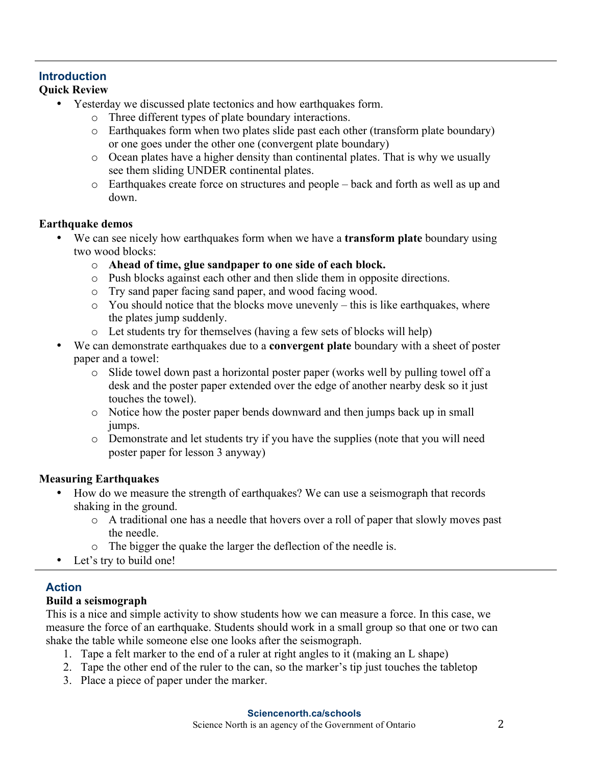#### **Introduction Quick Review**

- Yesterday we discussed plate tectonics and how earthquakes form.
	- o Three different types of plate boundary interactions.
	- o Earthquakes form when two plates slide past each other (transform plate boundary) or one goes under the other one (convergent plate boundary)
	- o Ocean plates have a higher density than continental plates. That is why we usually see them sliding UNDER continental plates.
	- o Earthquakes create force on structures and people back and forth as well as up and down.

### **Earthquake demos**

- We can see nicely how earthquakes form when we have a **transform plate** boundary using two wood blocks:
	- o **Ahead of time, glue sandpaper to one side of each block.**
	- o Push blocks against each other and then slide them in opposite directions.
	- o Try sand paper facing sand paper, and wood facing wood.
	- $\circ$  You should notice that the blocks move unevenly this is like earthquakes, where the plates jump suddenly.
	- o Let students try for themselves (having a few sets of blocks will help)
- We can demonstrate earthquakes due to a **convergent plate** boundary with a sheet of poster paper and a towel:
	- o Slide towel down past a horizontal poster paper (works well by pulling towel off a desk and the poster paper extended over the edge of another nearby desk so it just touches the towel).
	- o Notice how the poster paper bends downward and then jumps back up in small jumps.
	- o Demonstrate and let students try if you have the supplies (note that you will need poster paper for lesson 3 anyway)

## **Measuring Earthquakes**

- How do we measure the strength of earthquakes? We can use a seismograph that records shaking in the ground.
	- o A traditional one has a needle that hovers over a roll of paper that slowly moves past the needle.
	- o The bigger the quake the larger the deflection of the needle is.
- Let's try to build one!

# **Action**

## **Build a seismograph**

This is a nice and simple activity to show students how we can measure a force. In this case, we measure the force of an earthquake. Students should work in a small group so that one or two can shake the table while someone else one looks after the seismograph.

- 1. Tape a felt marker to the end of a ruler at right angles to it (making an L shape)
- 2. Tape the other end of the ruler to the can, so the marker's tip just touches the tabletop
- 3. Place a piece of paper under the marker.